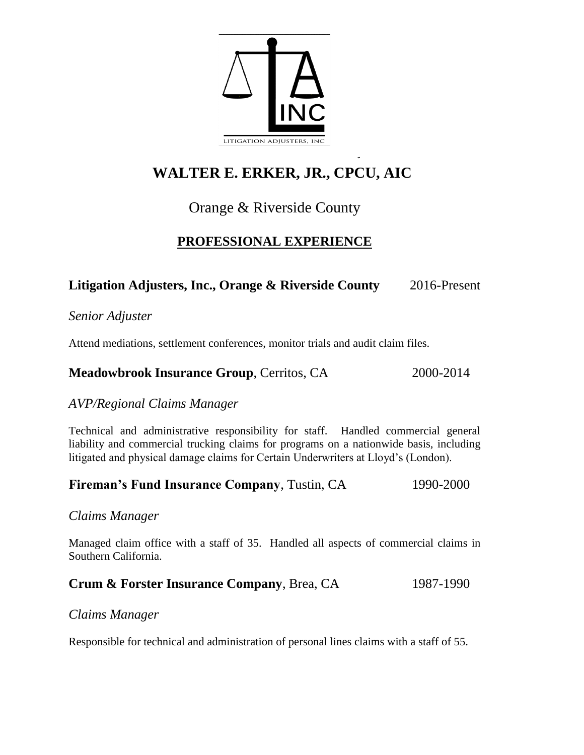

# **WALTER E. ERKER, JR., CPCU, AIC**

## Orange & Riverside County

### **PROFESSIONAL EXPERIENCE**

### Litigation Adjusters, Inc., Orange & Riverside County 2016-Present

*Senior Adjuster* 

Attend mediations, settlement conferences, monitor trials and audit claim files.

#### **Meadowbrook Insurance Group**, Cerritos, CA 2000-2014

#### *AVP/Regional Claims Manager*

Technical and administrative responsibility for staff. Handled commercial general liability and commercial trucking claims for programs on a nationwide basis, including litigated and physical damage claims for Certain Underwriters at Lloyd's (London).

#### **Fireman's Fund Insurance Company, Tustin, CA** 1990-2000

*Claims Manager*

Managed claim office with a staff of 35. Handled all aspects of commercial claims in Southern California.

#### **Crum & Forster Insurance Company**, Brea, CA 1987-1990

#### *Claims Manager*

Responsible for technical and administration of personal lines claims with a staff of 55.